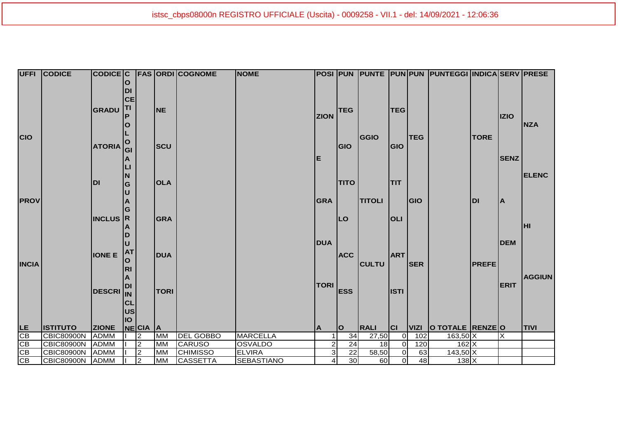|              | <b>UFFI CODICE</b> | CODICE C         |              |                |             | <b>FAS ORDI COGNOME</b> | <b>NOME</b>       |                |             |                 |                |             | POSI  PUN  PUNTE  PUN PUN  PUNTEGGI  INDICA SERV  PRESE |              |             |               |
|--------------|--------------------|------------------|--------------|----------------|-------------|-------------------------|-------------------|----------------|-------------|-----------------|----------------|-------------|---------------------------------------------------------|--------------|-------------|---------------|
|              |                    |                  | $\mathbf O$  |                |             |                         |                   |                |             |                 |                |             |                                                         |              |             |               |
|              |                    |                  | DI           |                |             |                         |                   |                |             |                 |                |             |                                                         |              |             |               |
|              |                    |                  | <b>CE</b>    |                |             |                         |                   |                |             |                 |                |             |                                                         |              |             |               |
|              |                    | <b>GRADU</b>     | lTI          |                | <b>NE</b>   |                         |                   |                | <b>TEG</b>  |                 | <b>TEG</b>     |             |                                                         |              |             |               |
|              |                    |                  |              |                |             |                         |                   | <b>ZION</b>    |             |                 |                |             |                                                         |              | <b>IZIO</b> |               |
|              |                    |                  |              |                |             |                         |                   |                |             |                 |                |             |                                                         |              |             | <b>NZA</b>    |
| <b>CIO</b>   |                    |                  |              |                |             |                         |                   |                |             | <b>GGIO</b>     |                | <b>TEG</b>  |                                                         | <b>TORE</b>  |             |               |
|              |                    | <b>ATORIA</b>    | $\mathbf{o}$ |                | <b>SCU</b>  |                         |                   |                | <b>GIO</b>  |                 | GIO            |             |                                                         |              |             |               |
|              |                    |                  | GI           |                |             |                         |                   |                |             |                 |                |             |                                                         |              |             |               |
|              |                    |                  | A            |                |             |                         |                   | E              |             |                 |                |             |                                                         |              | <b>SENZ</b> |               |
|              |                    |                  |              |                |             |                         |                   |                |             |                 |                |             |                                                         |              |             |               |
|              |                    |                  | N            |                |             |                         |                   |                |             |                 |                |             |                                                         |              |             | <b>ELENC</b>  |
|              |                    | <b>DI</b>        | G            |                | <b>OLA</b>  |                         |                   |                | <b>TITO</b> |                 | <b>TIT</b>     |             |                                                         |              |             |               |
|              |                    |                  |              |                |             |                         |                   |                |             |                 |                |             |                                                         |              |             |               |
| <b>PROV</b>  |                    |                  |              |                |             |                         |                   | <b>GRA</b>     |             | <b>TITOLI</b>   |                | GIO         |                                                         | <b>DI</b>    | A           |               |
|              |                    |                  | G            |                |             |                         |                   |                |             |                 |                |             |                                                         |              |             |               |
|              |                    | <b>INCLUS</b> R  |              |                | <b>GRA</b>  |                         |                   |                | <b>LO</b>   |                 | <b>OLI</b>     |             |                                                         |              |             |               |
|              |                    |                  |              |                |             |                         |                   |                |             |                 |                |             |                                                         |              |             | lнı           |
|              |                    |                  | D            |                |             |                         |                   |                |             |                 |                |             |                                                         |              |             |               |
|              |                    |                  |              |                |             |                         |                   | <b>DUA</b>     |             |                 |                |             |                                                         |              | <b>DEM</b>  |               |
|              |                    | <b>IONE E</b>    | <b>AT</b>    |                | <b>DUA</b>  |                         |                   |                | <b>ACC</b>  |                 | <b>ART</b>     |             |                                                         |              |             |               |
|              |                    |                  | $\mathbf O$  |                |             |                         |                   |                |             |                 |                |             |                                                         |              |             |               |
| <b>INCIA</b> |                    |                  | <b>RI</b>    |                |             |                         |                   |                |             | <b>CULTU</b>    |                | <b>SER</b>  |                                                         | <b>PREFE</b> |             |               |
|              |                    |                  | A            |                |             |                         |                   |                |             |                 |                |             |                                                         |              |             | <b>AGGIUN</b> |
|              |                    |                  | <b>DI</b>    |                |             |                         |                   | <b>TORI</b>    |             |                 |                |             |                                                         |              | <b>ERIT</b> |               |
|              |                    | <b>DESCRI</b> IN |              |                | <b>TORI</b> |                         |                   |                | <b>ESS</b>  |                 | <b>ISTI</b>    |             |                                                         |              |             |               |
|              |                    |                  | CL           |                |             |                         |                   |                |             |                 |                |             |                                                         |              |             |               |
|              |                    |                  | <b>US</b>    |                |             |                         |                   |                |             |                 |                |             |                                                         |              |             |               |
|              |                    |                  | IO           |                |             |                         |                   |                |             |                 |                |             |                                                         |              |             |               |
| LE.          | <b>ISTITUTO</b>    | <b>ZIONE</b>     |              | NECIA A        |             |                         |                   | A              | lo          | <b>RALI</b>     | <b>CI</b>      | <b>VIZI</b> | O TOTALE RENZEO                                         |              |             | <b>TIVI</b>   |
| CB           | <b>CBIC80900N</b>  | <b>ADMM</b>      |              | $\overline{c}$ | <b>MM</b>   | <b>DEL GOBBO</b>        | <b>MARCELLA</b>   |                | 34          | 27,50           | $\Omega$       | 102         | $163,50$ X                                              |              | ΙX          |               |
| CB           | <b>CBIC80900N</b>  | <b>ADMM</b>      |              | $\overline{2}$ | <b>MM</b>   | <b>CARUSO</b>           | <b>OSVALDO</b>    | $\mathbf{2}$   | 24          | $\overline{18}$ | $\overline{0}$ | 120         | $162$ $X$                                               |              |             |               |
| CB           | <b>CBIC80900N</b>  | <b>ADMM</b>      |              | $\overline{2}$ | <b>MM</b>   | <b>CHIMISSO</b>         | <b>ELVIRA</b>     | $\mathbf{3}$   | 22          | 58,50           | $\Omega$       | 63          | $143,50$ X                                              |              |             |               |
| CB           | <b>CBIC80900N</b>  | <b>ADMM</b>      |              | $\overline{2}$ | <b>MM</b>   | <b>CASSETTA</b>         | <b>SEBASTIANO</b> | $\overline{4}$ | 30          | 60              | $\overline{O}$ | 48          | $138$ $X$                                               |              |             |               |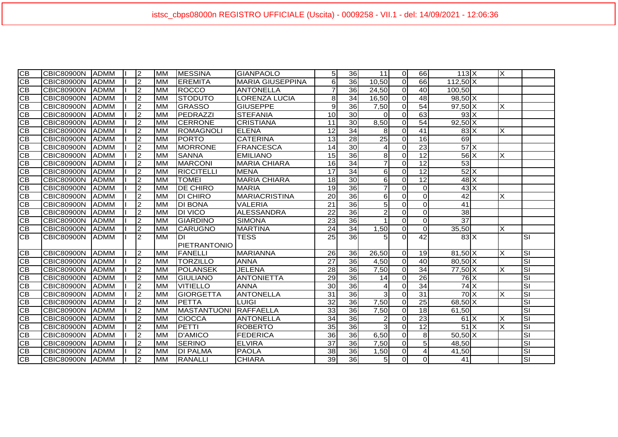| $\overline{CB}$ | <b>CBIC80900N</b> | <b>IADMM</b> | l2             | <b>MM</b> | <b>MESSINA</b>     | <b>I</b> GIANPAOLO      | 5 <sup>1</sup>  | 36              | 11             | $\Omega$ | 66                       | $113$ $X$                  | Ιx                      |                                      |
|-----------------|-------------------|--------------|----------------|-----------|--------------------|-------------------------|-----------------|-----------------|----------------|----------|--------------------------|----------------------------|-------------------------|--------------------------------------|
| <b>CB</b>       | <b>CBIC80900N</b> | <b>ADMM</b>  | 2              | <b>MM</b> | <b>EREMITA</b>     | <b>MARIA GIUSEPPINA</b> | 6               | 36              | 10,50          | $\Omega$ | 66                       | $112,50$ X                 |                         |                                      |
| IСB             | <b>CBIC80900N</b> | <b>ADMM</b>  | 2              | <b>MM</b> | <b>ROCCO</b>       | <b>ANTONELLA</b>        | $\overline{7}$  | 36              | 24,50          | $\Omega$ | 40                       | 100,50                     |                         |                                      |
| <b>CB</b>       | <b>CBIC80900N</b> | ADMM         | $\overline{2}$ | <b>MM</b> | <b>STODUTO</b>     | <b>LORENZA LUCIA</b>    | 8               | 34              | 16,50          | $\Omega$ | 48                       | $98,50$ X                  |                         |                                      |
| <b>CB</b>       | <b>CBIC80900N</b> | ADMM         | $\overline{2}$ | <b>MM</b> | <b>GRASSO</b>      | <b>GIUSEPPE</b>         | $\overline{9}$  | 36              | 7,50           | $\Omega$ | 54                       | $\overline{97,50}$ X       | X                       |                                      |
| <b>CB</b>       | <b>CBIC80900N</b> | IADMM        | 2              | <b>MM</b> | PEDRAZZI           | <b>STEFANIA</b>         | 10              | 30 <sup>°</sup> | $\Omega$       | $\Omega$ | 63                       | $93\text{X}$               |                         |                                      |
| <b>CB</b>       | <b>CBIC80900N</b> | ADMM         | $\overline{2}$ | <b>MM</b> | <b>CERRONE</b>     | <b>CRISTIANA</b>        | 11              | 30              | 8,50           | $\Omega$ | 54                       | $92,50$ X                  |                         |                                      |
| <b>CB</b>       | <b>CBIC80900N</b> | <b>IADMM</b> | 2              | <b>MM</b> | <b>ROMAGNOLI</b>   | ELENA                   | 12              | 34              | 8              | $\Omega$ | 41                       | $83\text{X}$               | X                       |                                      |
| <b>CB</b>       | <b>CBIC80900N</b> | <b>IADMM</b> | 2              | <b>MM</b> | <b>PORTO</b>       | <b>CATERINA</b>         | 13              | 28              | 25             | $\Omega$ | 16                       | 69                         |                         |                                      |
| <b>CB</b>       | <b>CBIC80900N</b> | <b>IADMM</b> | ا C            | <b>MM</b> | <b>MORRONE</b>     | <b>FRANCESCA</b>        | 14              | 30              | 4              | $\Omega$ | $\overline{23}$          | 57X                        |                         |                                      |
| <b>CB</b>       | <b>CBIC80900N</b> | <b>ADMM</b>  | ا C            | <b>MM</b> | <b>SANNA</b>       | <b>EMILIANO</b>         | 15              | 36              | 8              | $\Omega$ | 12                       | $56$ $X$                   | X                       |                                      |
| <b>CB</b>       | <b>CBIC80900N</b> | <b>ADMM</b>  | $\overline{2}$ | <b>MM</b> | <b>MARCONI</b>     | <b>MARIA CHIARA</b>     | 16              | $\overline{34}$ | 7              | $\Omega$ | 12                       | 53                         |                         |                                      |
| $\overline{CB}$ | <b>CBIC80900N</b> | ADMM         | $\overline{2}$ | <b>MM</b> | <b>RICCITELLI</b>  | <b>MENA</b>             | 17              | 34              | 6              | $\Omega$ | 12                       | $52$ $X$                   |                         |                                      |
| CB              | <b>CBIC80900N</b> | <b>ADMM</b>  | $\overline{c}$ | <b>MM</b> | <b>TOMEI</b>       | <b>MARIA CHIARA</b>     | 18              | 30              | 6              | $\Omega$ | 12                       | $48$ $X$                   |                         |                                      |
| <b>CB</b>       | <b>CBIC80900N</b> | <b>ADMM</b>  | $\overline{c}$ | <b>MM</b> | <b>DE CHIRO</b>    | <b>MARIA</b>            | 19              | 36              |                | $\Omega$ | $\Omega$                 | $43\text{X}$               |                         |                                      |
| <b>CB</b>       | <b>CBIC80900N</b> | <b>ADMM</b>  | $\overline{c}$ | <b>MM</b> | <b>DI CHIRO</b>    | <b>MARIACRISTINA</b>    | $\overline{20}$ | 36              | 6              | $\Omega$ | $\Omega$                 | $\overline{42}$            | X                       |                                      |
| CВ              | <b>CBIC80900N</b> | <b>ADMM</b>  | 2              | <b>MM</b> | <b>DI BONA</b>     | <b>VALERIA</b>          | $\overline{21}$ | 36              | 5              | $\Omega$ | $\Omega$                 | $\overline{41}$            |                         |                                      |
| СB              | <b>CBIC80900N</b> | <b>ADMM</b>  | $\overline{c}$ | <b>MM</b> | <b>DI VICO</b>     | <b>ALESSANDRA</b>       | 22              | 36              | $\overline{2}$ | $\Omega$ | $\Omega$                 | $\overline{38}$            |                         |                                      |
| CB              | <b>CBIC80900N</b> | <b>ADMM</b>  | 2              | <b>MM</b> | <b>GIARDINO</b>    | <b>SIMONA</b>           | 23              | 36              |                | $\Omega$ | $\Omega$                 | $\overline{37}$            |                         |                                      |
| CВ              | <b>CBIC80900N</b> | IADMM        | 2              | <b>MM</b> | <b>CARUGNO</b>     | <b>MARTINA</b>          | $\overline{24}$ | 34              | 1,50           | $\Omega$ | $\mathbf 0$              | 35,50                      | X                       |                                      |
| IСB             | <b>CBIC80900N</b> | <b>ADMM</b>  | $\mathsf{I}2$  | <b>MM</b> | IDI                | <b>TESS</b>             | 25              | 36              | 5              | $\Omega$ | 42                       | $83\text{X}$               |                         | lsı                                  |
|                 |                   |              |                |           | PIETRANTONIO       |                         |                 |                 |                |          |                          |                            |                         |                                      |
| IСB             | <b>CBIC80900N</b> | IADMM        | $\overline{2}$ | <b>MM</b> | <b>FANELLI</b>     | <b>MARIANNA</b>         | 26              | 36              | 26,50          | $\Omega$ | 19                       | $81,50$ X                  | X                       | lS                                   |
| $\overline{C}$  | <b>CBIC80900N</b> | <b>ADMM</b>  | 2              | <b>MM</b> | <b>TORZILLO</b>    | <b>ANNA</b>             | $\overline{27}$ | 36              | 4,50           | $\Omega$ | $\overline{40}$          | $80,50$ X                  |                         | ΙSΙ                                  |
| <b>CB</b>       | <b>CBIC80900N</b> | <b>IADMM</b> | 2              | <b>MM</b> | <b>POLANSEK</b>    | <b>JELENA</b>           | $\overline{28}$ | 36              | 7,50           | $\Omega$ | 34                       | 77,50 X                    | X                       | $\overline{\mathsf{s}}$              |
| CВ              | <b>CBIC80900N</b> | <b>IADMM</b> | $\overline{2}$ | <b>MM</b> | <b>GIULIANO</b>    | <b>ANTONIETTA</b>       | 29              | 36              | 14             | $\Omega$ | 26                       | 76 X                       |                         | lS                                   |
| СB              | <b>CBIC80900N</b> | <b>ADMM</b>  | $\overline{2}$ | <b>MM</b> | <b>VITIELLO</b>    | <b>ANNA</b>             | 30              | 36              | 4              | $\Omega$ | $\overline{34}$          | 74X                        |                         | $\overline{\mathsf{SI}}$             |
| IСB             | <b>CBIC80900N</b> | ADMM         | $\overline{2}$ | <b>MM</b> | <b>GIORGETTA</b>   | <b>ANTONELLA</b>        | $\overline{31}$ | 36              | 3              | $\Omega$ | $\overline{31}$          | $70$ $\times$              | X                       | $\overline{\mathbf{s}}$              |
| <b>CB</b>       | <b>CBIC80900N</b> | ADMM         | $\overline{2}$ | <b>MM</b> | <b>PETTA</b>       | <b>LUIGI</b>            | $\overline{32}$ | 36              | 7,50           | $\Omega$ | 25                       | $68,50\overline{\text{X}}$ |                         | $\overline{\mathsf{SI}}$             |
| CB              | <b>CBIC80900N</b> | <b>ADMM</b>  | $\overline{c}$ | <b>MM</b> | <b>MASTANTUONI</b> | RAFFAELLA               | 33              | 36              | 7,50           | $\Omega$ | 18                       | 61,50                      |                         | $\overline{\mathsf{S}}$              |
| <b>CB</b>       | <b>CBIC80900N</b> | <b>ADMM</b>  | $\overline{c}$ | <b>MM</b> | <b>CIOCCA</b>      | <b>ANTONELLA</b>        | 34              | 36              | 2              | $\Omega$ | $\overline{23}$          | 61X                        |                         | $\overline{\mathsf{SI}}$             |
| CB              | <b>CBIC80900N</b> | <b>ADMM</b>  | 2              | <b>MM</b> | <b>PETTI</b>       | <b>ROBERTO</b>          | 35              | 36              | $\overline{3}$ | $\Omega$ | $\overline{12}$          | $51$ $X$                   | $\overline{\mathsf{x}}$ | $\overline{\overline{\overline{S}}}$ |
| CB              | <b>CBIC80900N</b> | <b>ADMM</b>  | 2              | <b>MM</b> | <b>D'AMICO</b>     | <b>FEDERICA</b>         | 36              | 36              | 6,50           | $\Omega$ | 8                        | $50,50$ X                  |                         | $\overline{\mathbf{s}}$              |
| CВ              | <b>CBIC80900N</b> | <b>ADMM</b>  | 2              | MM        | <b>SERINO</b>      | <b>ELVIRA</b>           | $\overline{37}$ | 36              | 7.50           | $\Omega$ | 5                        | 48,50                      |                         | $\overline{\overline{\overline{c}}}$ |
| <b>CB</b>       | <b>CBIC80900N</b> | <b>ADMM</b>  | $\overline{2}$ | <b>MM</b> | <b>DI PALMA</b>    | <b>PAOLA</b>            | 38              | 36              | 1,50           | $\Omega$ | $\boldsymbol{\varDelta}$ | 41,50                      |                         | $\overline{\overline{\overline{c}}}$ |
| <b>CB</b>       | <b>CBIC80900N</b> | <b>ADMM</b>  | 2              | <b>MM</b> | <b>RANALLI</b>     | <b>CHIARA</b>           | 39              | 36              | 5 <sup>1</sup> | οI       | $\Omega$                 | $\overline{41}$            |                         | $\overline{\mathbf{s}}$              |